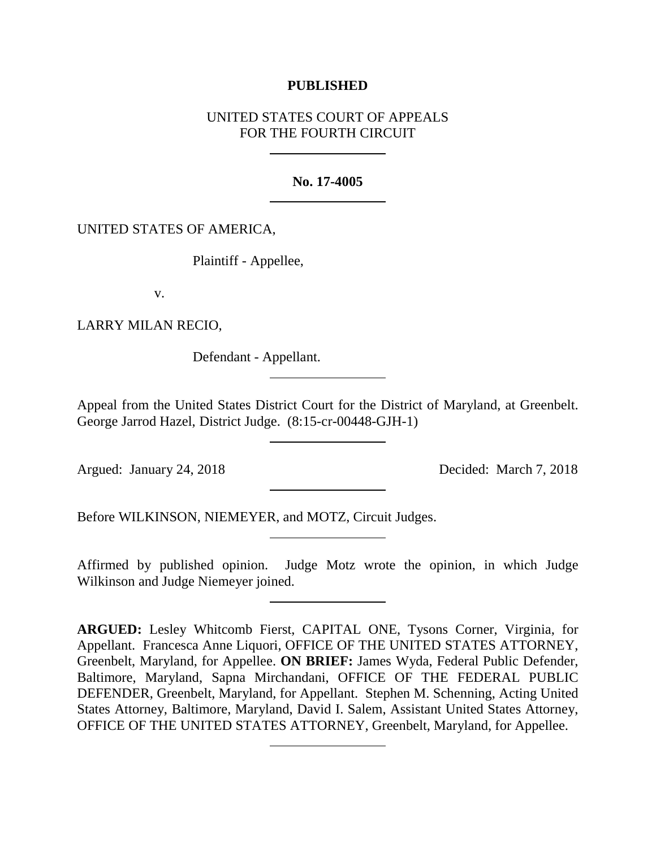# **PUBLISHED**

# UNITED STATES COURT OF APPEALS FOR THE FOURTH CIRCUIT

## **No. 17-4005**

# UNITED STATES OF AMERICA,

Plaintiff - Appellee,

v.

LARRY MILAN RECIO,

Defendant - Appellant.

Appeal from the United States District Court for the District of Maryland, at Greenbelt. George Jarrod Hazel, District Judge. (8:15-cr-00448-GJH-1)

Argued: January 24, 2018 Decided: March 7, 2018

Before WILKINSON, NIEMEYER, and MOTZ, Circuit Judges.

Affirmed by published opinion. Judge Motz wrote the opinion, in which Judge Wilkinson and Judge Niemeyer joined.

**ARGUED:** Lesley Whitcomb Fierst, CAPITAL ONE, Tysons Corner, Virginia, for Appellant. Francesca Anne Liquori, OFFICE OF THE UNITED STATES ATTORNEY, Greenbelt, Maryland, for Appellee. **ON BRIEF:** James Wyda, Federal Public Defender, Baltimore, Maryland, Sapna Mirchandani, OFFICE OF THE FEDERAL PUBLIC DEFENDER, Greenbelt, Maryland, for Appellant. Stephen M. Schenning, Acting United States Attorney, Baltimore, Maryland, David I. Salem, Assistant United States Attorney, OFFICE OF THE UNITED STATES ATTORNEY, Greenbelt, Maryland, for Appellee.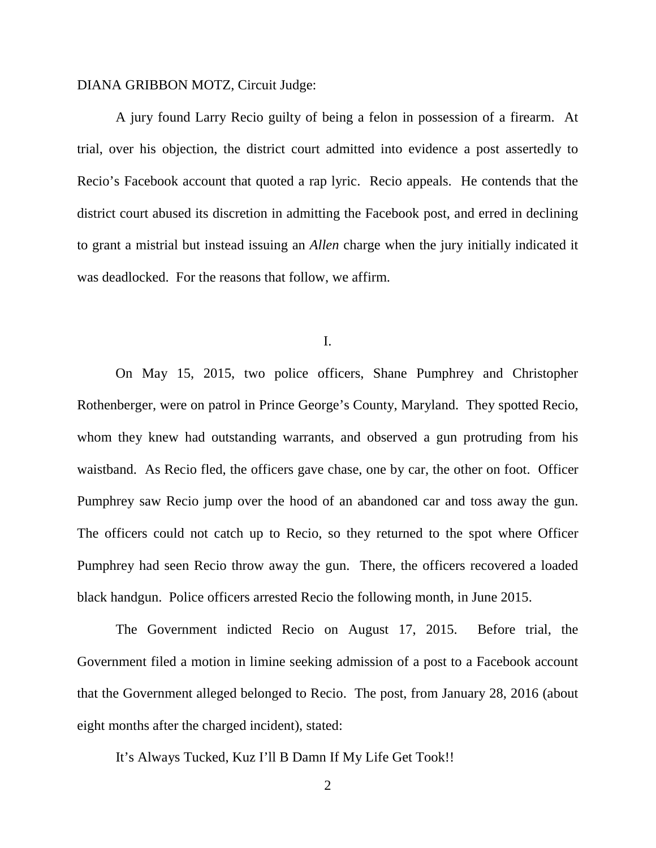# DIANA GRIBBON MOTZ, Circuit Judge:

A jury found Larry Recio guilty of being a felon in possession of a firearm. At trial, over his objection, the district court admitted into evidence a post assertedly to Recio's Facebook account that quoted a rap lyric. Recio appeals. He contends that the district court abused its discretion in admitting the Facebook post, and erred in declining to grant a mistrial but instead issuing an *Allen* charge when the jury initially indicated it was deadlocked. For the reasons that follow, we affirm.

I.

On May 15, 2015, two police officers, Shane Pumphrey and Christopher Rothenberger, were on patrol in Prince George's County, Maryland. They spotted Recio, whom they knew had outstanding warrants, and observed a gun protruding from his waistband. As Recio fled, the officers gave chase, one by car, the other on foot. Officer Pumphrey saw Recio jump over the hood of an abandoned car and toss away the gun. The officers could not catch up to Recio, so they returned to the spot where Officer Pumphrey had seen Recio throw away the gun. There, the officers recovered a loaded black handgun. Police officers arrested Recio the following month, in June 2015.

The Government indicted Recio on August 17, 2015. Before trial, the Government filed a motion in limine seeking admission of a post to a Facebook account that the Government alleged belonged to Recio. The post, from January 28, 2016 (about eight months after the charged incident), stated:

It's Always Tucked, Kuz I'll B Damn If My Life Get Took!!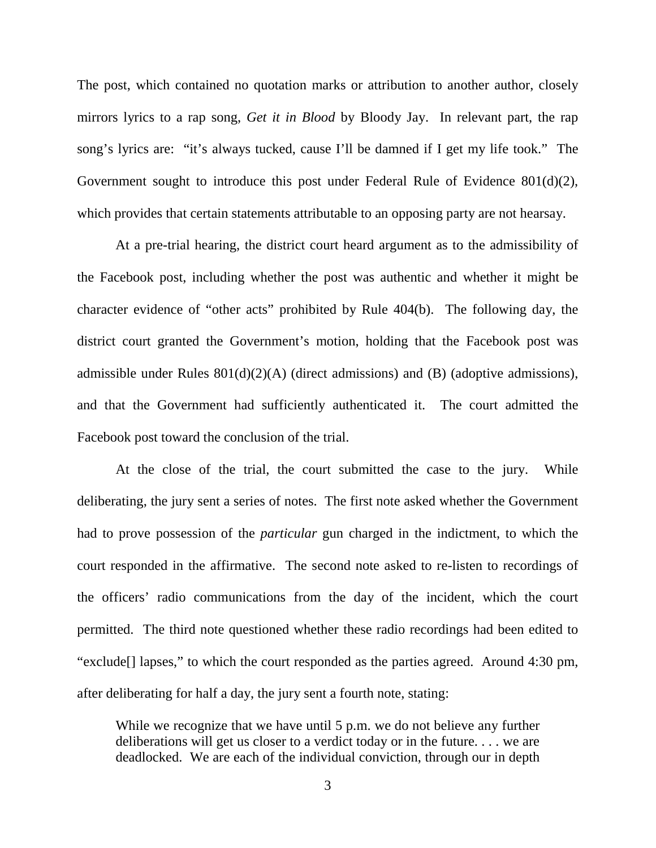The post, which contained no quotation marks or attribution to another author, closely mirrors lyrics to a rap song, *Get it in Blood* by Bloody Jay. In relevant part, the rap song's lyrics are: "it's always tucked, cause I'll be damned if I get my life took." The Government sought to introduce this post under Federal Rule of Evidence 801(d)(2), which provides that certain statements attributable to an opposing party are not hearsay.

At a pre-trial hearing, the district court heard argument as to the admissibility of the Facebook post, including whether the post was authentic and whether it might be character evidence of "other acts" prohibited by Rule 404(b). The following day, the district court granted the Government's motion, holding that the Facebook post was admissible under Rules 801(d)(2)(A) (direct admissions) and (B) (adoptive admissions), and that the Government had sufficiently authenticated it. The court admitted the Facebook post toward the conclusion of the trial.

At the close of the trial, the court submitted the case to the jury. While deliberating, the jury sent a series of notes. The first note asked whether the Government had to prove possession of the *particular* gun charged in the indictment, to which the court responded in the affirmative. The second note asked to re-listen to recordings of the officers' radio communications from the day of the incident, which the court permitted. The third note questioned whether these radio recordings had been edited to "exclude[] lapses," to which the court responded as the parties agreed. Around 4:30 pm, after deliberating for half a day, the jury sent a fourth note, stating:

While we recognize that we have until 5 p.m. we do not believe any further deliberations will get us closer to a verdict today or in the future. . . . we are deadlocked. We are each of the individual conviction, through our in depth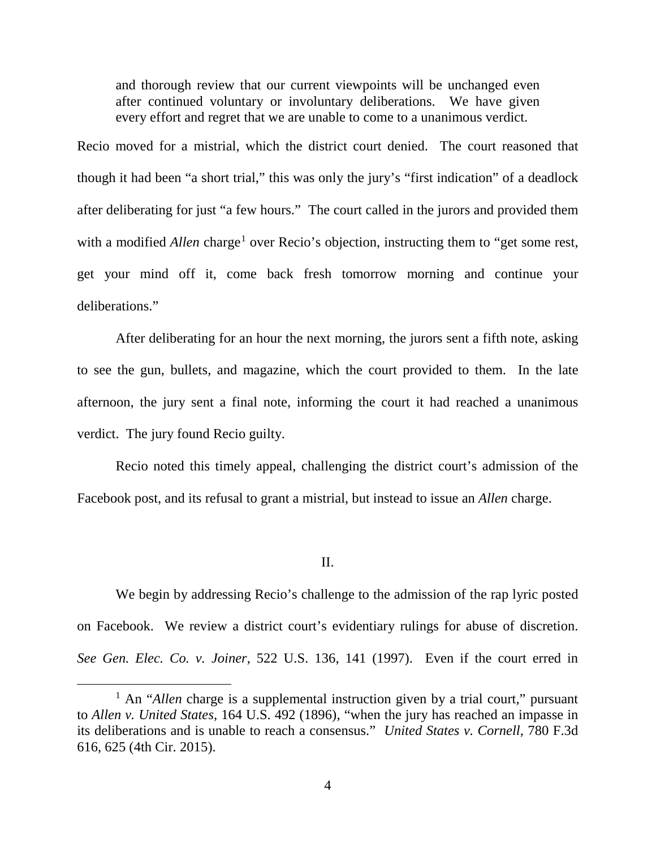and thorough review that our current viewpoints will be unchanged even after continued voluntary or involuntary deliberations. We have given every effort and regret that we are unable to come to a unanimous verdict.

Recio moved for a mistrial, which the district court denied. The court reasoned that though it had been "a short trial," this was only the jury's "first indication" of a deadlock after deliberating for just "a few hours." The court called in the jurors and provided them with a modified *Allen* charge<sup>[1](#page-3-0)</sup> over Recio's objection, instructing them to "get some rest, get your mind off it, come back fresh tomorrow morning and continue your deliberations."

After deliberating for an hour the next morning, the jurors sent a fifth note, asking to see the gun, bullets, and magazine, which the court provided to them. In the late afternoon, the jury sent a final note, informing the court it had reached a unanimous verdict. The jury found Recio guilty.

Recio noted this timely appeal, challenging the district court's admission of the Facebook post, and its refusal to grant a mistrial, but instead to issue an *Allen* charge.

#### II.

We begin by addressing Recio's challenge to the admission of the rap lyric posted on Facebook. We review a district court's evidentiary rulings for abuse of discretion. *See Gen. Elec. Co. v. Joiner*, 522 U.S. 136, 141 (1997). Even if the court erred in

<span id="page-3-0"></span><sup>&</sup>lt;sup>1</sup> An "*Allen* charge is a supplemental instruction given by a trial court," pursuant to *Allen v. United States*, 164 U.S. 492 (1896), "when the jury has reached an impasse in its deliberations and is unable to reach a consensus." *United States v. Cornell*, 780 F.3d 616, 625 (4th Cir. 2015).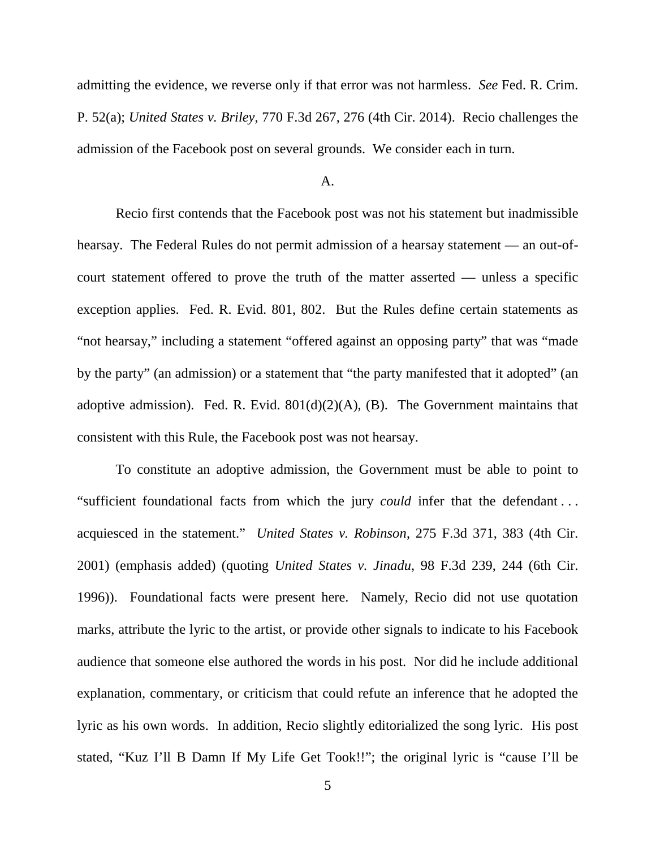admitting the evidence, we reverse only if that error was not harmless. *See* Fed. R. Crim. P. 52(a); *United States v. Briley*, 770 F.3d 267, 276 (4th Cir. 2014). Recio challenges the admission of the Facebook post on several grounds. We consider each in turn.

#### A.

Recio first contends that the Facebook post was not his statement but inadmissible hearsay. The Federal Rules do not permit admission of a hearsay statement — an out-ofcourt statement offered to prove the truth of the matter asserted — unless a specific exception applies. Fed. R. Evid. 801, 802. But the Rules define certain statements as "not hearsay," including a statement "offered against an opposing party" that was "made by the party" (an admission) or a statement that "the party manifested that it adopted" (an adoptive admission). Fed. R. Evid.  $801(d)(2)(A)$ , (B). The Government maintains that consistent with this Rule, the Facebook post was not hearsay.

To constitute an adoptive admission, the Government must be able to point to "sufficient foundational facts from which the jury *could* infer that the defendant . . . acquiesced in the statement." *United States v. Robinson*, 275 F.3d 371, 383 (4th Cir. 2001) (emphasis added) (quoting *United States v. Jinadu*, 98 F.3d 239, 244 (6th Cir. 1996)). Foundational facts were present here. Namely, Recio did not use quotation marks, attribute the lyric to the artist, or provide other signals to indicate to his Facebook audience that someone else authored the words in his post. Nor did he include additional explanation, commentary, or criticism that could refute an inference that he adopted the lyric as his own words. In addition, Recio slightly editorialized the song lyric. His post stated, "Kuz I'll B Damn If My Life Get Took!!"; the original lyric is "cause I'll be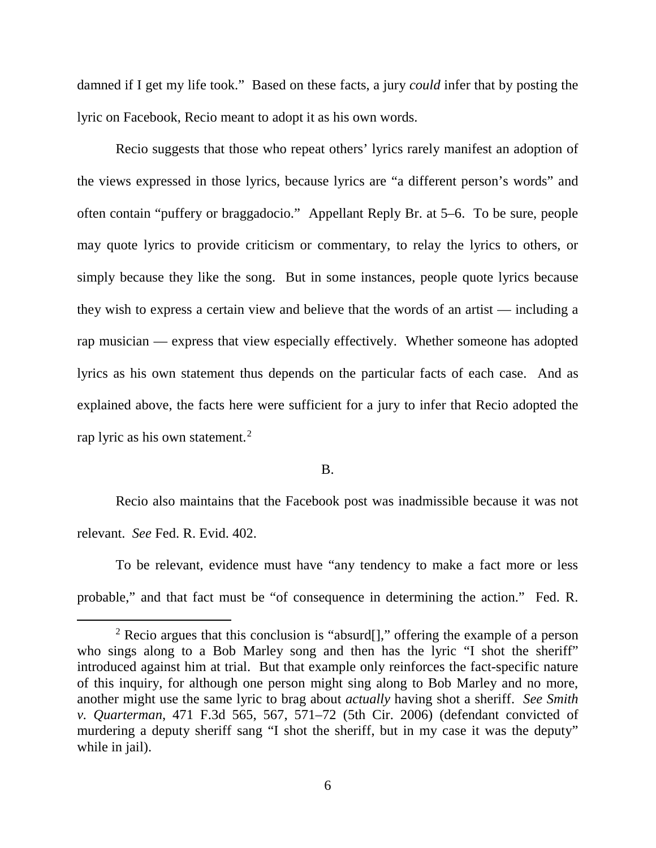damned if I get my life took." Based on these facts, a jury *could* infer that by posting the lyric on Facebook, Recio meant to adopt it as his own words.

Recio suggests that those who repeat others' lyrics rarely manifest an adoption of the views expressed in those lyrics, because lyrics are "a different person's words" and often contain "puffery or braggadocio." Appellant Reply Br. at 5–6. To be sure, people may quote lyrics to provide criticism or commentary, to relay the lyrics to others, or simply because they like the song. But in some instances, people quote lyrics because they wish to express a certain view and believe that the words of an artist — including a rap musician — express that view especially effectively. Whether someone has adopted lyrics as his own statement thus depends on the particular facts of each case. And as explained above, the facts here were sufficient for a jury to infer that Recio adopted the rap lyric as his own statement.<sup>[2](#page-5-0)</sup>

### B.

Recio also maintains that the Facebook post was inadmissible because it was not relevant. *See* Fed. R. Evid. 402.

To be relevant, evidence must have "any tendency to make a fact more or less probable," and that fact must be "of consequence in determining the action." Fed. R.

<span id="page-5-0"></span><sup>&</sup>lt;sup>2</sup> Recio argues that this conclusion is "absurd[]," offering the example of a person who sings along to a Bob Marley song and then has the lyric "I shot the sheriff" introduced against him at trial. But that example only reinforces the fact-specific nature of this inquiry, for although one person might sing along to Bob Marley and no more, another might use the same lyric to brag about *actually* having shot a sheriff. *See Smith v. Quarterman*, 471 F.3d 565, 567, 571–72 (5th Cir. 2006) (defendant convicted of murdering a deputy sheriff sang "I shot the sheriff, but in my case it was the deputy" while in jail).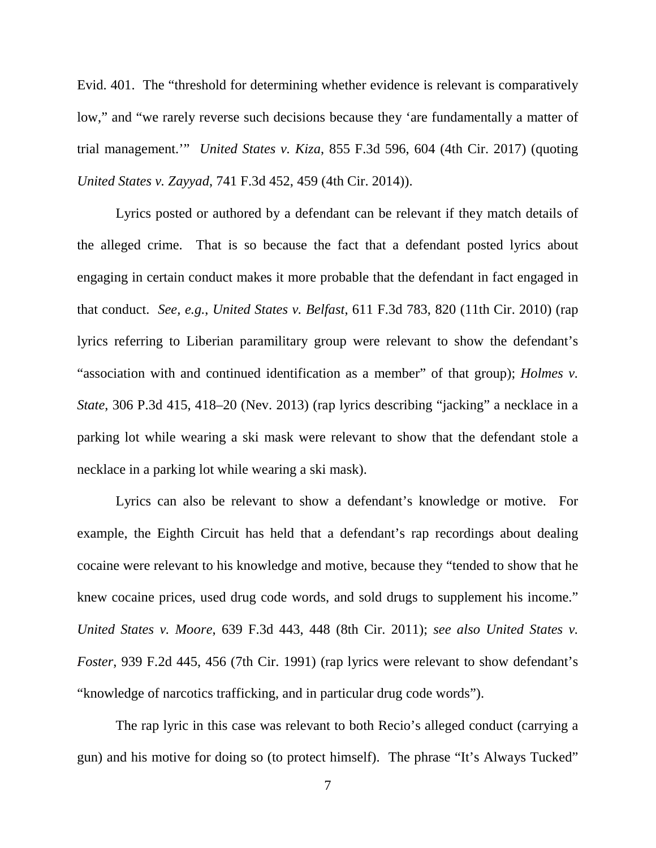Evid. 401. The "threshold for determining whether evidence is relevant is comparatively low," and "we rarely reverse such decisions because they 'are fundamentally a matter of trial management.'" *United States v. Kiza*, 855 F.3d 596, 604 (4th Cir. 2017) (quoting *United States v. Zayyad*, 741 F.3d 452, 459 (4th Cir. 2014)).

Lyrics posted or authored by a defendant can be relevant if they match details of the alleged crime. That is so because the fact that a defendant posted lyrics about engaging in certain conduct makes it more probable that the defendant in fact engaged in that conduct. *See, e.g.*, *United States v. Belfast*, 611 F.3d 783, 820 (11th Cir. 2010) (rap lyrics referring to Liberian paramilitary group were relevant to show the defendant's "association with and continued identification as a member" of that group); *Holmes v. State*, 306 P.3d 415, 418–20 (Nev. 2013) (rap lyrics describing "jacking" a necklace in a parking lot while wearing a ski mask were relevant to show that the defendant stole a necklace in a parking lot while wearing a ski mask).

Lyrics can also be relevant to show a defendant's knowledge or motive. For example, the Eighth Circuit has held that a defendant's rap recordings about dealing cocaine were relevant to his knowledge and motive, because they "tended to show that he knew cocaine prices, used drug code words, and sold drugs to supplement his income." *United States v. Moore*, 639 F.3d 443, 448 (8th Cir. 2011); *see also United States v. Foster*, 939 F.2d 445, 456 (7th Cir. 1991) (rap lyrics were relevant to show defendant's "knowledge of narcotics trafficking, and in particular drug code words").

The rap lyric in this case was relevant to both Recio's alleged conduct (carrying a gun) and his motive for doing so (to protect himself). The phrase "It's Always Tucked"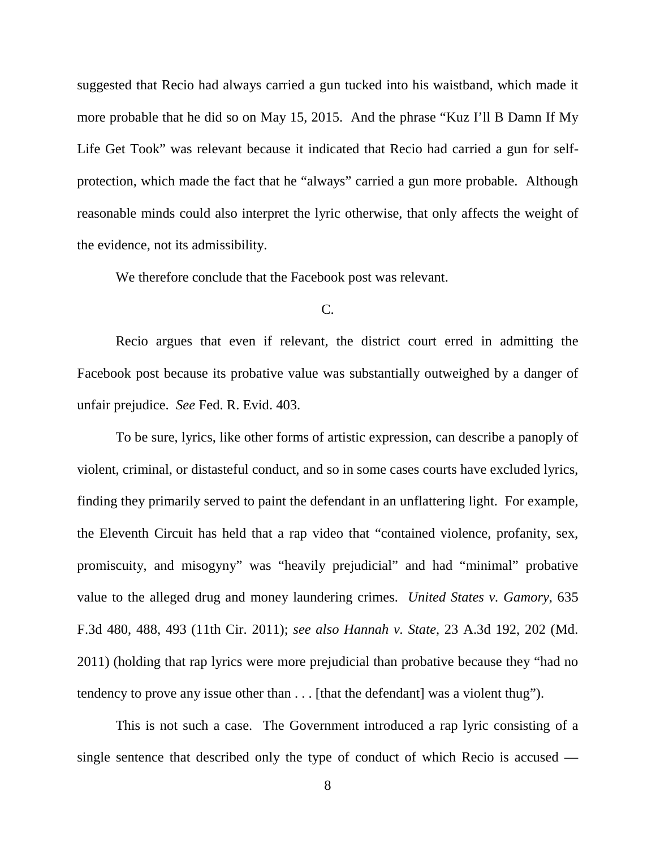suggested that Recio had always carried a gun tucked into his waistband, which made it more probable that he did so on May 15, 2015. And the phrase "Kuz I'll B Damn If My Life Get Took" was relevant because it indicated that Recio had carried a gun for selfprotection, which made the fact that he "always" carried a gun more probable. Although reasonable minds could also interpret the lyric otherwise, that only affects the weight of the evidence, not its admissibility.

We therefore conclude that the Facebook post was relevant.

C.

Recio argues that even if relevant, the district court erred in admitting the Facebook post because its probative value was substantially outweighed by a danger of unfair prejudice. *See* Fed. R. Evid. 403.

To be sure, lyrics, like other forms of artistic expression, can describe a panoply of violent, criminal, or distasteful conduct, and so in some cases courts have excluded lyrics, finding they primarily served to paint the defendant in an unflattering light. For example, the Eleventh Circuit has held that a rap video that "contained violence, profanity, sex, promiscuity, and misogyny" was "heavily prejudicial" and had "minimal" probative value to the alleged drug and money laundering crimes. *United States v. Gamory*, 635 F.3d 480, 488, 493 (11th Cir. 2011); *see also Hannah v. State*, 23 A.3d 192, 202 (Md. 2011) (holding that rap lyrics were more prejudicial than probative because they "had no tendency to prove any issue other than . . . [that the defendant] was a violent thug").

This is not such a case. The Government introduced a rap lyric consisting of a single sentence that described only the type of conduct of which Recio is accused —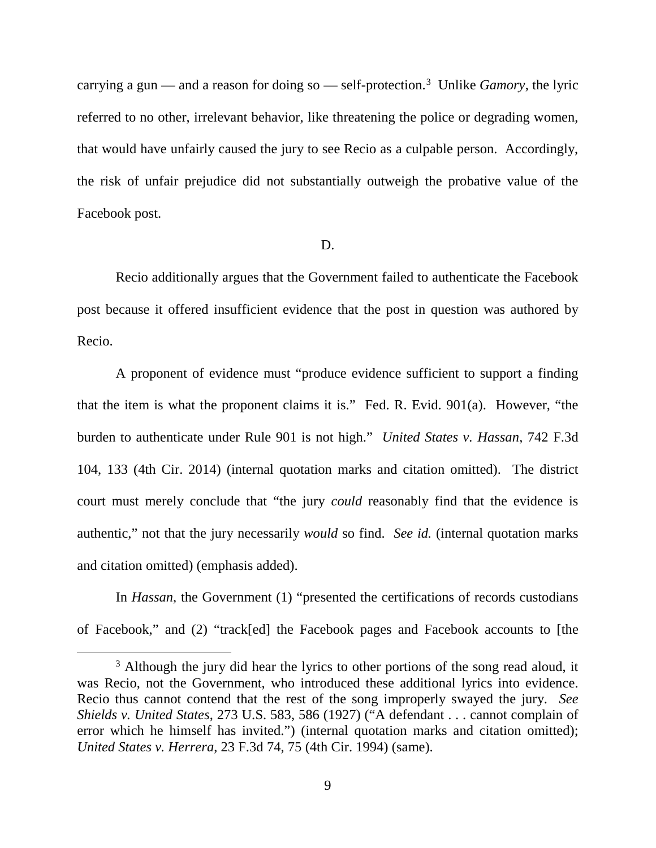carrying a gun — and a reason for doing so — self-protection. [3](#page-8-0) Unlike *Gamory*, the lyric referred to no other, irrelevant behavior, like threatening the police or degrading women, that would have unfairly caused the jury to see Recio as a culpable person. Accordingly, the risk of unfair prejudice did not substantially outweigh the probative value of the Facebook post.

#### D.

Recio additionally argues that the Government failed to authenticate the Facebook post because it offered insufficient evidence that the post in question was authored by Recio.

A proponent of evidence must "produce evidence sufficient to support a finding that the item is what the proponent claims it is." Fed. R. Evid. 901(a). However, "the burden to authenticate under Rule 901 is not high." *United States v. Hassan*, 742 F.3d 104, 133 (4th Cir. 2014) (internal quotation marks and citation omitted). The district court must merely conclude that "the jury *could* reasonably find that the evidence is authentic," not that the jury necessarily *would* so find. *See id.* (internal quotation marks and citation omitted) (emphasis added).

In *Hassan*, the Government (1) "presented the certifications of records custodians of Facebook," and (2) "track[ed] the Facebook pages and Facebook accounts to [the

<span id="page-8-0"></span><sup>&</sup>lt;sup>3</sup> Although the jury did hear the lyrics to other portions of the song read aloud, it was Recio, not the Government, who introduced these additional lyrics into evidence. Recio thus cannot contend that the rest of the song improperly swayed the jury. *See Shields v. United States*, 273 U.S. 583, 586 (1927) ("A defendant . . . cannot complain of error which he himself has invited.") (internal quotation marks and citation omitted); *United States v. Herrera*, 23 F.3d 74, 75 (4th Cir. 1994) (same).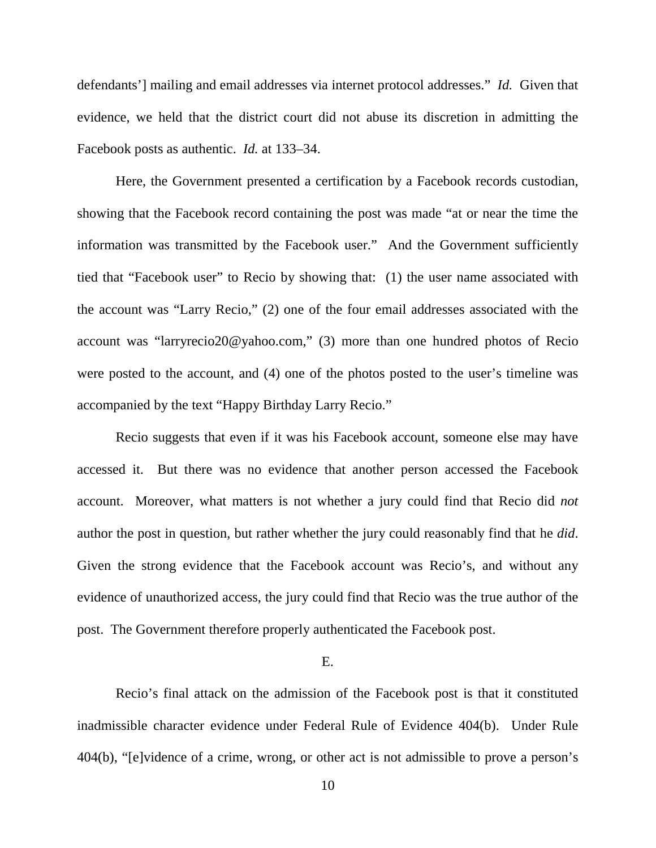defendants'] mailing and email addresses via internet protocol addresses." *Id.* Given that evidence, we held that the district court did not abuse its discretion in admitting the Facebook posts as authentic. *Id.* at 133–34.

Here, the Government presented a certification by a Facebook records custodian, showing that the Facebook record containing the post was made "at or near the time the information was transmitted by the Facebook user." And the Government sufficiently tied that "Facebook user" to Recio by showing that: (1) the user name associated with the account was "Larry Recio," (2) one of the four email addresses associated with the account was "larryrecio20@yahoo.com," (3) more than one hundred photos of Recio were posted to the account, and (4) one of the photos posted to the user's timeline was accompanied by the text "Happy Birthday Larry Recio."

Recio suggests that even if it was his Facebook account, someone else may have accessed it. But there was no evidence that another person accessed the Facebook account. Moreover, what matters is not whether a jury could find that Recio did *not*  author the post in question, but rather whether the jury could reasonably find that he *did*. Given the strong evidence that the Facebook account was Recio's, and without any evidence of unauthorized access, the jury could find that Recio was the true author of the post. The Government therefore properly authenticated the Facebook post.

# E.

Recio's final attack on the admission of the Facebook post is that it constituted inadmissible character evidence under Federal Rule of Evidence 404(b). Under Rule 404(b), "[e]vidence of a crime, wrong, or other act is not admissible to prove a person's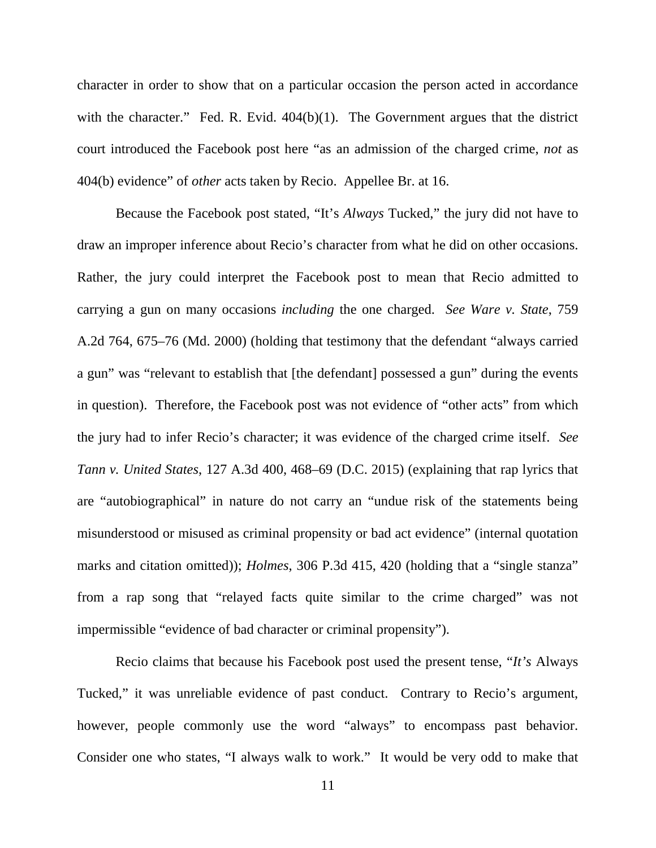character in order to show that on a particular occasion the person acted in accordance with the character." Fed. R. Evid. 404(b)(1). The Government argues that the district court introduced the Facebook post here "as an admission of the charged crime, *not* as 404(b) evidence" of *other* acts taken by Recio. Appellee Br. at 16.

Because the Facebook post stated, "It's *Always* Tucked," the jury did not have to draw an improper inference about Recio's character from what he did on other occasions. Rather, the jury could interpret the Facebook post to mean that Recio admitted to carrying a gun on many occasions *including* the one charged. *See Ware v. State*, 759 A.2d 764, 675–76 (Md. 2000) (holding that testimony that the defendant "always carried a gun" was "relevant to establish that [the defendant] possessed a gun" during the events in question). Therefore, the Facebook post was not evidence of "other acts" from which the jury had to infer Recio's character; it was evidence of the charged crime itself. *See Tann v. United States*, 127 A.3d 400, 468–69 (D.C. 2015) (explaining that rap lyrics that are "autobiographical" in nature do not carry an "undue risk of the statements being misunderstood or misused as criminal propensity or bad act evidence" (internal quotation marks and citation omitted)); *Holmes*, 306 P.3d 415, 420 (holding that a "single stanza" from a rap song that "relayed facts quite similar to the crime charged" was not impermissible "evidence of bad character or criminal propensity").

Recio claims that because his Facebook post used the present tense, "*It's* Always Tucked," it was unreliable evidence of past conduct. Contrary to Recio's argument, however, people commonly use the word "always" to encompass past behavior. Consider one who states, "I always walk to work." It would be very odd to make that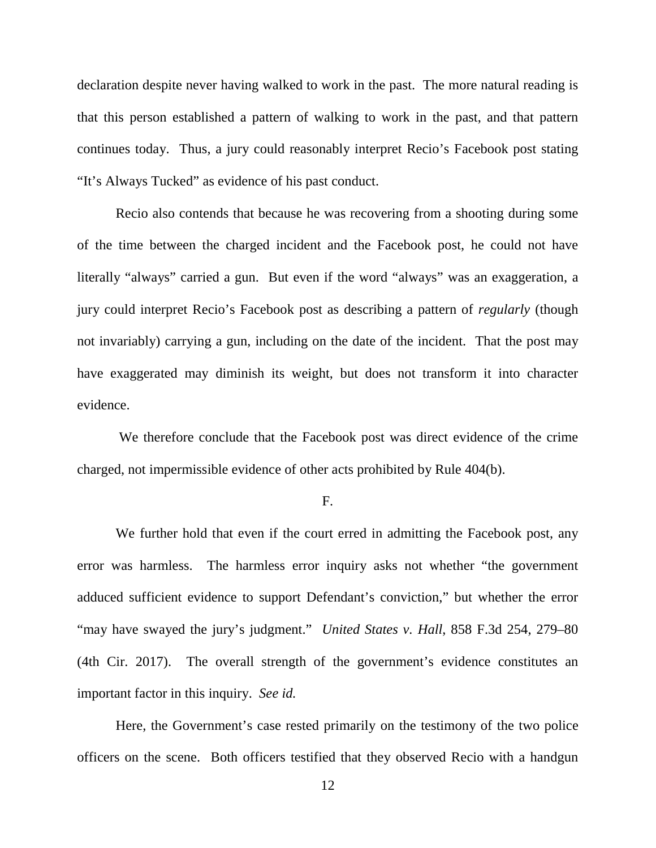declaration despite never having walked to work in the past. The more natural reading is that this person established a pattern of walking to work in the past, and that pattern continues today. Thus, a jury could reasonably interpret Recio's Facebook post stating "It's Always Tucked" as evidence of his past conduct.

Recio also contends that because he was recovering from a shooting during some of the time between the charged incident and the Facebook post, he could not have literally "always" carried a gun. But even if the word "always" was an exaggeration, a jury could interpret Recio's Facebook post as describing a pattern of *regularly* (though not invariably) carrying a gun, including on the date of the incident. That the post may have exaggerated may diminish its weight, but does not transform it into character evidence.

We therefore conclude that the Facebook post was direct evidence of the crime charged, not impermissible evidence of other acts prohibited by Rule 404(b).

#### F.

We further hold that even if the court erred in admitting the Facebook post, any error was harmless. The harmless error inquiry asks not whether "the government adduced sufficient evidence to support Defendant's conviction," but whether the error "may have swayed the jury's judgment." *United States v. Hall*, 858 F.3d 254, 279–80 (4th Cir. 2017). The overall strength of the government's evidence constitutes an important factor in this inquiry. *See id.*

Here, the Government's case rested primarily on the testimony of the two police officers on the scene. Both officers testified that they observed Recio with a handgun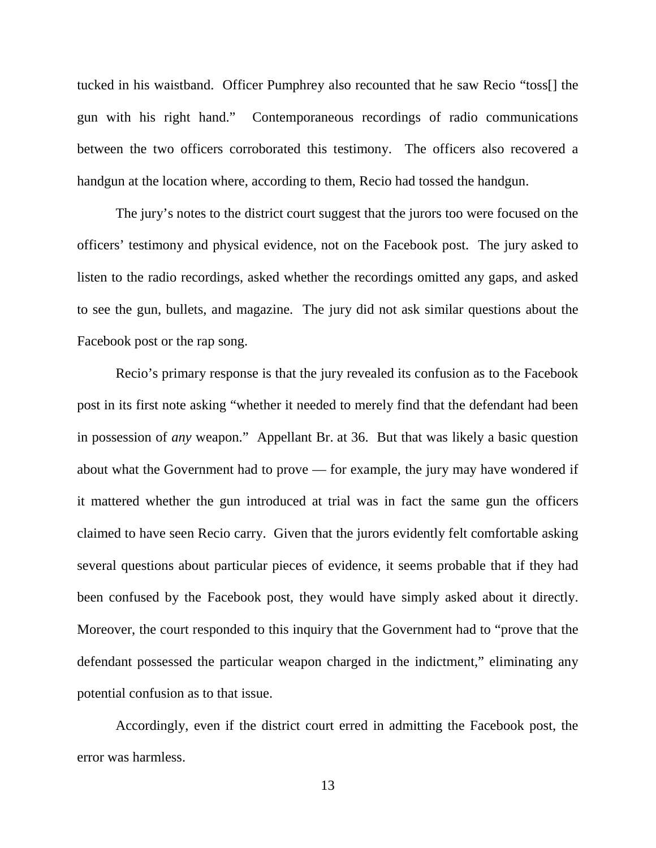tucked in his waistband. Officer Pumphrey also recounted that he saw Recio "toss[] the gun with his right hand." Contemporaneous recordings of radio communications between the two officers corroborated this testimony. The officers also recovered a handgun at the location where, according to them, Recio had tossed the handgun.

The jury's notes to the district court suggest that the jurors too were focused on the officers' testimony and physical evidence, not on the Facebook post. The jury asked to listen to the radio recordings, asked whether the recordings omitted any gaps, and asked to see the gun, bullets, and magazine. The jury did not ask similar questions about the Facebook post or the rap song.

Recio's primary response is that the jury revealed its confusion as to the Facebook post in its first note asking "whether it needed to merely find that the defendant had been in possession of *any* weapon." Appellant Br. at 36. But that was likely a basic question about what the Government had to prove — for example, the jury may have wondered if it mattered whether the gun introduced at trial was in fact the same gun the officers claimed to have seen Recio carry. Given that the jurors evidently felt comfortable asking several questions about particular pieces of evidence, it seems probable that if they had been confused by the Facebook post, they would have simply asked about it directly. Moreover, the court responded to this inquiry that the Government had to "prove that the defendant possessed the particular weapon charged in the indictment," eliminating any potential confusion as to that issue.

Accordingly, even if the district court erred in admitting the Facebook post, the error was harmless.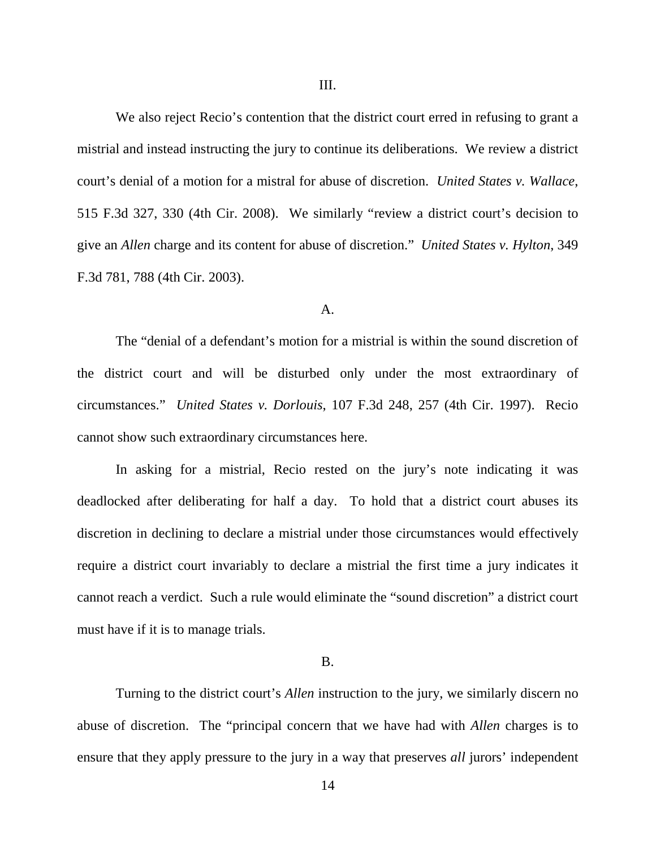We also reject Recio's contention that the district court erred in refusing to grant a mistrial and instead instructing the jury to continue its deliberations. We review a district court's denial of a motion for a mistral for abuse of discretion. *United States v. Wallace*, 515 F.3d 327, 330 (4th Cir. 2008). We similarly "review a district court's decision to give an *Allen* charge and its content for abuse of discretion." *United States v. Hylton*, 349 F.3d 781, 788 (4th Cir. 2003).

#### A.

The "denial of a defendant's motion for a mistrial is within the sound discretion of the district court and will be disturbed only under the most extraordinary of circumstances." *United States v. Dorlouis*, 107 F.3d 248, 257 (4th Cir. 1997). Recio cannot show such extraordinary circumstances here.

In asking for a mistrial, Recio rested on the jury's note indicating it was deadlocked after deliberating for half a day. To hold that a district court abuses its discretion in declining to declare a mistrial under those circumstances would effectively require a district court invariably to declare a mistrial the first time a jury indicates it cannot reach a verdict. Such a rule would eliminate the "sound discretion" a district court must have if it is to manage trials.

### B.

Turning to the district court's *Allen* instruction to the jury, we similarly discern no abuse of discretion. The "principal concern that we have had with *Allen* charges is to ensure that they apply pressure to the jury in a way that preserves *all* jurors' independent